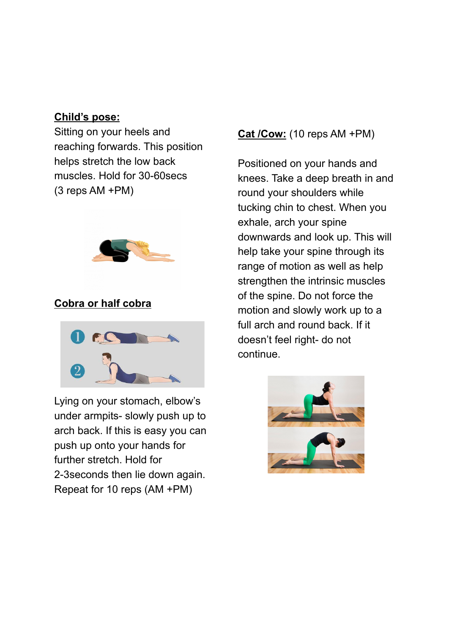## **Child's pose:**

Sitting on your heels and reaching forwards. This position helps stretch the low back muscles. Hold for 30-60secs (3 reps AM +PM)



# **Cobra or half cobra**



Lying on your stomach, elbow's under armpits- slowly push up to arch back. If this is easy you can push up onto your hands for further stretch. Hold for 2-3seconds then lie down again. Repeat for 10 reps (AM +PM)

# **Cat /Cow:** (10 reps AM +PM)

Positioned on your hands and knees. Take a deep breath in and round your shoulders while tucking chin to chest. When you exhale, arch your spine downwards and look up. This will help take your spine through its range of motion as well as help strengthen the intrinsic muscles of the spine. Do not force the motion and slowly work up to a full arch and round back. If it doesn't feel right- do not continue.